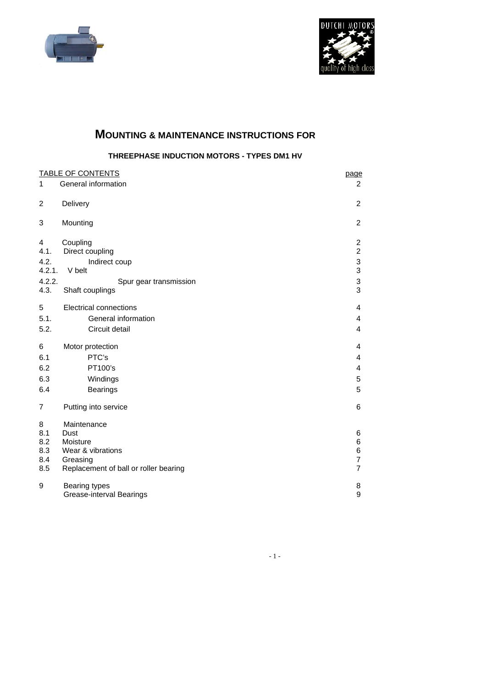



# **MOUNTING & MAINTENANCE INSTRUCTIONS FOR**

**THREEPHASE INDUCTION MOTORS - TYPES DM1 HV** 

| <b>TABLE OF CONTENTS</b> |                                       | page                      |
|--------------------------|---------------------------------------|---------------------------|
| $\mathbf{1}$             | General information                   | $\overline{2}$            |
| $\overline{c}$           | Delivery                              | $\overline{2}$            |
| 3                        | Mounting                              | $\overline{c}$            |
| 4                        | Coupling                              | $\overline{\mathbf{c}}$   |
| 4.1.                     | Direct coupling                       | $\overline{2}$            |
| 4.2.                     | Indirect coup                         | $\ensuremath{\mathsf{3}}$ |
| 4.2.1.                   | V belt                                | 3                         |
| 4.2.2.                   | Spur gear transmission                | 3<br>3                    |
| 4.3.                     | Shaft couplings                       |                           |
| 5                        | <b>Electrical connections</b>         | 4                         |
| 5.1.                     | General information                   | 4                         |
| 5.2.                     | Circuit detail                        | $\overline{4}$            |
| 6                        | Motor protection                      | 4                         |
| 6.1                      | PTC's                                 | 4                         |
| 6.2                      | PT100's                               | 4                         |
| 6.3                      | Windings                              | 5                         |
| 6.4                      | <b>Bearings</b>                       | 5                         |
| 7                        | Putting into service                  | 6                         |
| 8                        | Maintenance                           |                           |
| 8.1                      | Dust                                  | 6                         |
| 8.2                      | Moisture                              | 6                         |
| 8.3<br>8.4               | Wear & vibrations<br>Greasing         | 6<br>7                    |
| 8.5                      | Replacement of ball or roller bearing | $\overline{7}$            |
|                          |                                       |                           |
| 9                        | <b>Bearing types</b>                  | 8                         |
|                          | Grease-interval Bearings              | 9                         |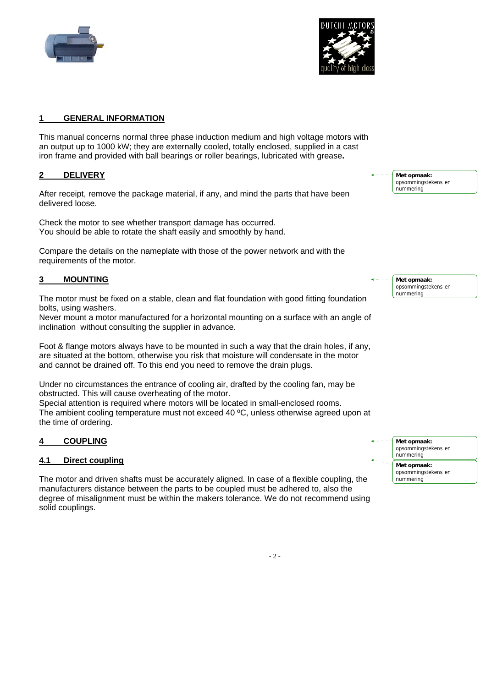



#### **1 GENERAL INFORMATION**

This manual concerns normal three phase induction medium and high voltage motors with an output up to 1000 kW; they are externally cooled, totally enclosed, supplied in a cast iron frame and provided with ball bearings or roller bearings, lubricated with grease**.** 

#### **2 DELIVERY**

After receipt, remove the package material, if any, and mind the parts that have been delivered loose.

Check the motor to see whether transport damage has occurred. You should be able to rotate the shaft easily and smoothly by hand.

Compare the details on the nameplate with those of the power network and with the requirements of the motor.

## **3 MOUNTING**

The motor must be fixed on a stable, clean and flat foundation with good fitting foundation bolts, using washers.

Never mount a motor manufactured for a horizontal mounting on a surface with an angle of inclination without consulting the supplier in advance.

Foot & flange motors always have to be mounted in such a way that the drain holes, if any, are situated at the bottom, otherwise you risk that moisture will condensate in the motor and cannot be drained off. To this end you need to remove the drain plugs.

Under no circumstances the entrance of cooling air, drafted by the cooling fan, may be obstructed. This will cause overheating of the motor.

Special attention is required where motors will be located in small-enclosed rooms. The ambient cooling temperature must not exceed 40 °C, unless otherwise agreed upon at the time of ordering.

## **4 COUPLING**

## **4.1 Direct coupling**

The motor and driven shafts must be accurately aligned. In case of a flexible coupling, the manufacturers distance between the parts to be coupled must be adhered to, also the degree of misalignment must be within the makers tolerance. We do not recommend using solid couplings.

**Met opmaak:** opsommingstekens en nummering

**Met opmaak:** opsommingstekens en nummering

**Met opmaak:** opsommingstekens en nummering **Met opmaak:** opsommingstekens en nummering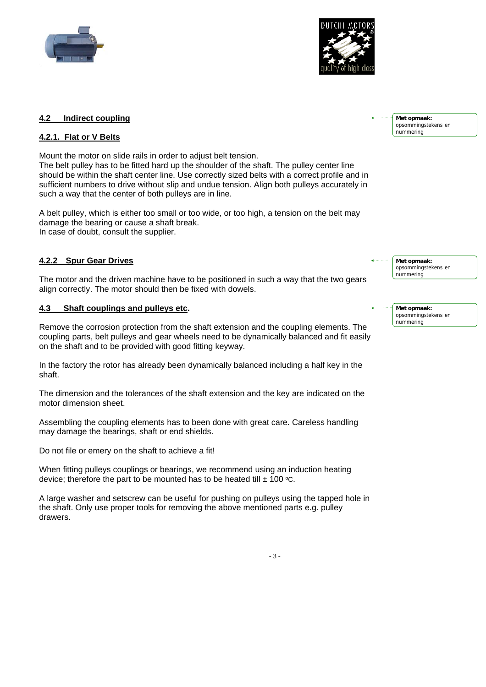



# **4.2 Indirect coupling**

# **4.2.1. Flat or V Belts**

Mount the motor on slide rails in order to adjust belt tension. The belt pulley has to be fitted hard up the shoulder of the shaft. The pulley center line should be within the shaft center line. Use correctly sized belts with a correct profile and in sufficient numbers to drive without slip and undue tension. Align both pulleys accurately in such a way that the center of both pulleys are in line.

A belt pulley, which is either too small or too wide, or too high, a tension on the belt may damage the bearing or cause a shaft break. In case of doubt, consult the supplier.

# **4.2.2 Spur Gear Drives**

The motor and the driven machine have to be positioned in such a way that the two gears align correctly. The motor should then be fixed with dowels.

# **4.3 Shaft couplings and pulleys etc.**

Remove the corrosion protection from the shaft extension and the coupling elements. The coupling parts, belt pulleys and gear wheels need to be dynamically balanced and fit easily on the shaft and to be provided with good fitting keyway.

In the factory the rotor has already been dynamically balanced including a half key in the shaft.

The dimension and the tolerances of the shaft extension and the key are indicated on the motor dimension sheet.

Assembling the coupling elements has to been done with great care. Careless handling may damage the bearings, shaft or end shields.

Do not file or emery on the shaft to achieve a fit!

When fitting pulleys couplings or bearings, we recommend using an induction heating device; therefore the part to be mounted has to be heated till  $\pm$  100 °C.

A large washer and setscrew can be useful for pushing on pulleys using the tapped hole in the shaft. Only use proper tools for removing the above mentioned parts e.g. pulley drawers.

**Met opmaak:** opsommingstekens en nummering

**Met opmaak:** opsommingstekens en nummering

**Met opmaak:** opsommingstekens en nummering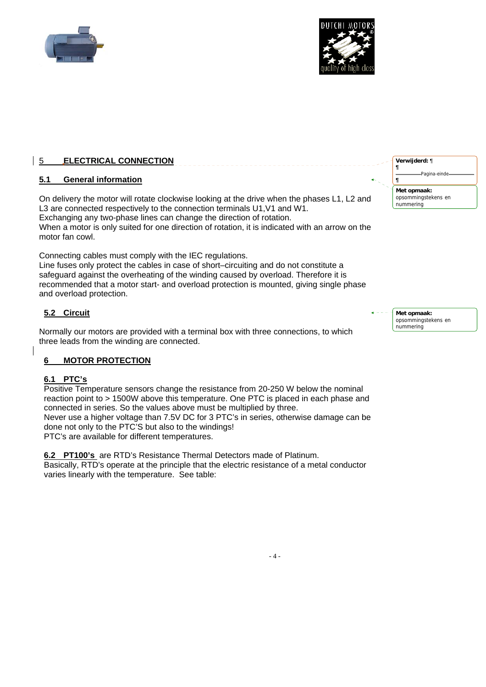



# 5 **ELECTRICAL CONNECTION**

## **5.1 General information**

On delivery the motor will rotate clockwise looking at the drive when the phases L1, L2 and L3 are connected respectively to the connection terminals U1, V1 and W1. Exchanging any two-phase lines can change the direction of rotation. When a motor is only suited for one direction of rotation, it is indicated with an arrow on the motor fan cowl.

Connecting cables must comply with the IEC regulations. Line fuses only protect the cables in case of short–circuiting and do not constitute a safeguard against the overheating of the winding caused by overload. Therefore it is recommended that a motor start- and overload protection is mounted, giving single phase and overload protection.

# **5.2 Circuit**

Normally our motors are provided with a terminal box with three connections, to which three leads from the winding are connected.

## **6 MOTOR PROTECTION**

## **6.1 PTC's**

Positive Temperature sensors change the resistance from 20-250 W below the nominal reaction point to > 1500W above this temperature. One PTC is placed in each phase and connected in series. So the values above must be multiplied by three. Never use a higher voltage than 7.5V DC for 3 PTC's in series, otherwise damage can be done not only to the PTC'S but also to the windings! PTC's are available for different temperatures.

**6.2 PT100's** are RTD's Resistance Thermal Detectors made of Platinum. Basically, RTD's operate at the principle that the electric resistance of a metal conductor varies linearly with the temperature. See table:

**Met opmaak:** opsommingstekens en nummering **Verwijderd:** ¶ **¶** Pagina-eind **¶**

**Met opmaak:** opsommingstekens en nummering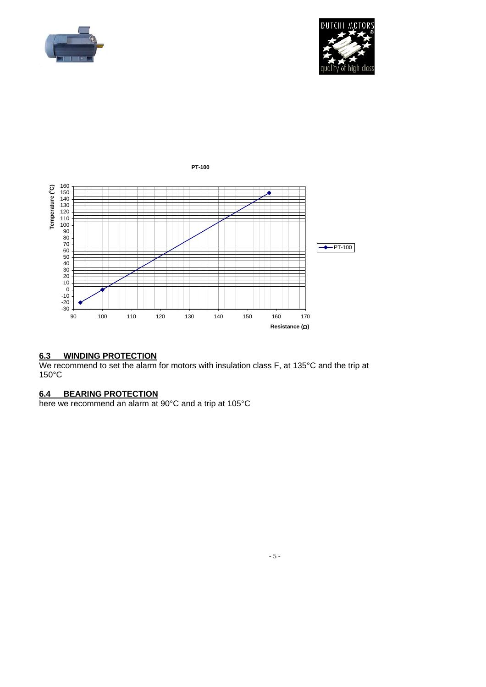





# **6.3 WINDING PROTECTION**

We recommend to set the alarm for motors with insulation class F, at 135°C and the trip at 150°C

#### **6.4 BEARING PROTECTION**

here we recommend an alarm at 90°C and a trip at 105°C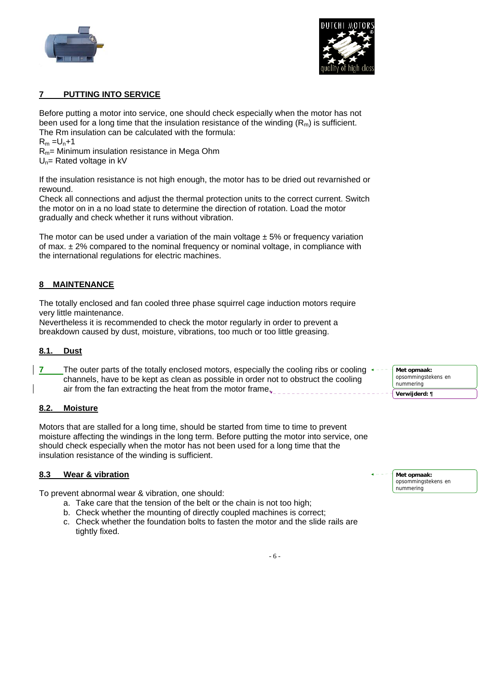



## **7 PUTTING INTO SERVICE**

Before putting a motor into service, one should check especially when the motor has not been used for a long time that the insulation resistance of the winding  $(R_m)$  is sufficient. The Rm insulation can be calculated with the formula:  $R_m = U_n + 1$  $R_m$ = Minimum insulation resistance in Mega Ohm  $U_n$ = Rated voltage in kV

If the insulation resistance is not high enough, the motor has to be dried out revarnished or rewound.

Check all connections and adjust the thermal protection units to the correct current. Switch the motor on in a no load state to determine the direction of rotation. Load the motor gradually and check whether it runs without vibration.

The motor can be used under a variation of the main voltage  $\pm$  5% or frequency variation of max.  $\pm$  2% compared to the nominal frequency or nominal voltage, in compliance with the international regulations for electric machines.

#### **8 MAINTENANCE**

The totally enclosed and fan cooled three phase squirrel cage induction motors require very little maintenance.

Nevertheless it is recommended to check the motor regularly in order to prevent a breakdown caused by dust, moisture, vibrations, too much or too little greasing.

#### **8.1. Dust**

**7** The outer parts of the totally enclosed motors, especially the cooling ribs or cooling  $\leftarrow$ channels, have to be kept as clean as possible in order not to obstruct the cooling air from the fan extracting the heat from the motor frame.

#### **8.2. Moisture**

Motors that are stalled for a long time, should be started from time to time to prevent moisture affecting the windings in the long term. Before putting the motor into service, one should check especially when the motor has not been used for a long time that the insulation resistance of the winding is sufficient.

#### **8.3 Wear & vibration**

To prevent abnormal wear & vibration, one should:

- a. Take care that the tension of the belt or the chain is not too high;
- b. Check whether the mounting of directly coupled machines is correct;
- c. Check whether the foundation bolts to fasten the motor and the slide rails are tightly fixed.

**Met opmaak:** opsommingstekens en nummering

**Verwijderd: ¶**

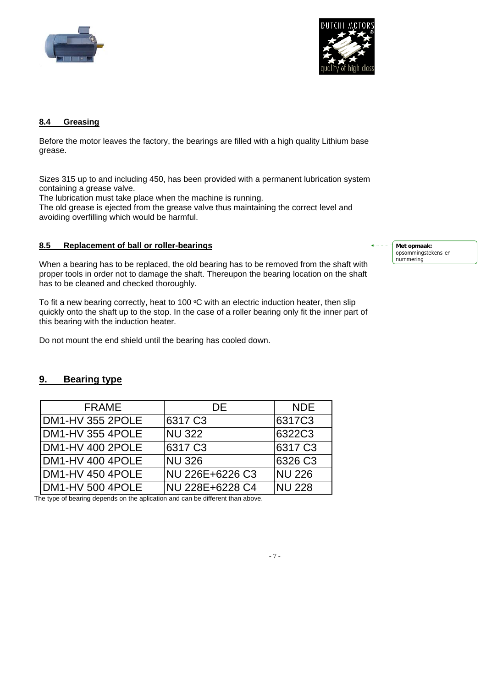



# **8.4 Greasing**

Before the motor leaves the factory, the bearings are filled with a high quality Lithium base grease.

Sizes 315 up to and including 450, has been provided with a permanent lubrication system containing a grease valve.

The lubrication must take place when the machine is running.

The old grease is ejected from the grease valve thus maintaining the correct level and avoiding overfilling which would be harmful.

# **8.5 Replacement of ball or roller-bearings**

When a bearing has to be replaced, the old bearing has to be removed from the shaft with proper tools in order not to damage the shaft. Thereupon the bearing location on the shaft has to be cleaned and checked thoroughly.

To fit a new bearing correctly, heat to 100  $\mathrm{C}$  with an electric induction heater, then slip quickly onto the shaft up to the stop. In the case of a roller bearing only fit the inner part of this bearing with the induction heater.

Do not mount the end shield until the bearing has cooled down.

# **9. Bearing type**

| <b>FRAME</b>      | DE.                 | <b>NDE</b>          |
|-------------------|---------------------|---------------------|
| DM1-HV 355 2POLE  | 6317 C <sub>3</sub> | 6317C3              |
| DM1-HV 355 4POLE  | <b>NU 322</b>       | 6322C3              |
| IDM1-HV 400 2POLE | 6317 C <sub>3</sub> | 6317 C <sub>3</sub> |
| IDM1-HV 400 4POLE | <b>NU 326</b>       | 6326 C3             |
| DM1-HV 450 4POLE  | NU 226E+6226 C3     | <b>NU 226</b>       |
| DM1-HV 500 4POLE  | NU 228E+6228 C4     | <b>NU 228</b>       |

The type of bearing depends on the aplication and can be different than above.

**Met opmaak:** opsommingstekens en nummering